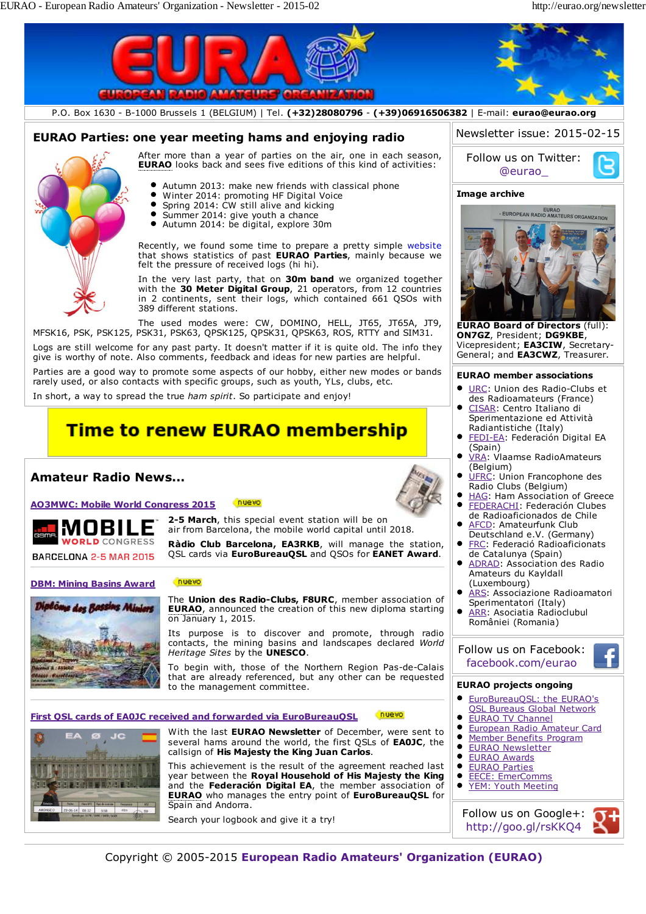